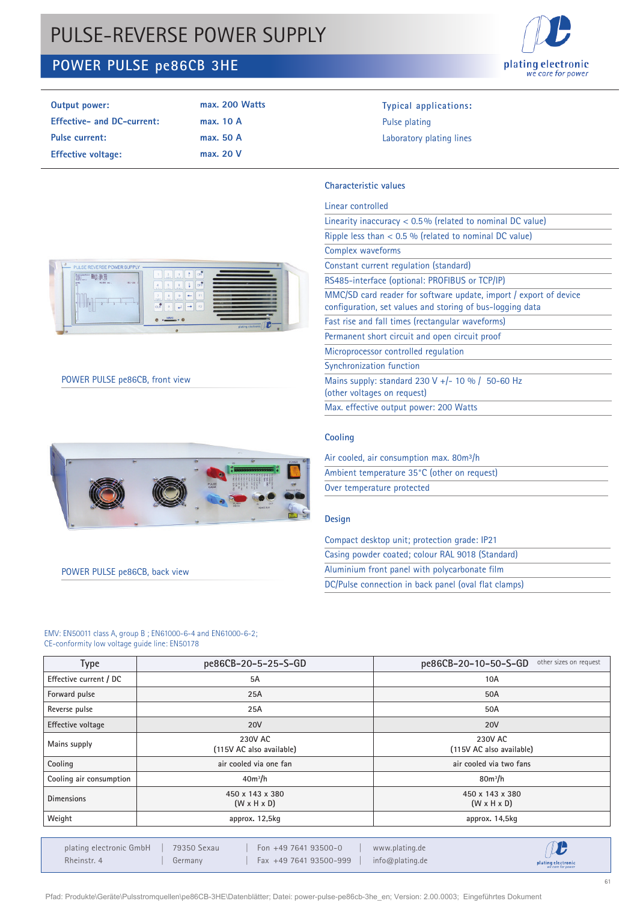# PULSE-REVERSE POWER SUPPLY

## **POWER PULSE pe86CB 3HE**



| Output power:                     | max. 200 Watts | <b>Typical applications:</b> |
|-----------------------------------|----------------|------------------------------|
| <b>Effective- and DC-current:</b> | max. 10 A      | Pulse plating                |
| <b>Pulse current:</b>             | max. 50 A      | Laboratory plating lines     |
| <b>Effective voltage:</b>         | max. 20 V      |                              |

### **Characteristic values**

| Linear controlled                                                                                                              |
|--------------------------------------------------------------------------------------------------------------------------------|
| Linearity inaccuracy $< 0.5\%$ (related to nominal DC value)                                                                   |
| Ripple less than $< 0.5$ % (related to nominal DC value)                                                                       |
| Complex waveforms                                                                                                              |
| Constant current regulation (standard)                                                                                         |
| RS485-interface (optional: PROFIBUS or TCP/IP)                                                                                 |
| MMC/SD card reader for software update, import / export of device<br>configuration, set values and storing of bus-logging data |
| Fast rise and fall times (rectangular waveforms)                                                                               |
| Permanent short circuit and open circuit proof                                                                                 |
| Microprocessor controlled regulation                                                                                           |
| Synchronization function                                                                                                       |
| Mains supply: standard 230 V +/- 10 % / 50-60 Hz<br>(other voltages on request)                                                |
| Max. effective output power: 200 Watts                                                                                         |

#### **Cooling**

| Air cooled, air consumption max. 80m <sup>3</sup> /h |  |  |  |  |
|------------------------------------------------------|--|--|--|--|
| Ambient temperature 35°C (other on request)          |  |  |  |  |
| Over temperature protected                           |  |  |  |  |

## **Design**

| Compact desktop unit; protection grade: IP21         |
|------------------------------------------------------|
| Casing powder coated; colour RAL 9018 (Standard)     |
| Aluminium front panel with polycarbonate film        |
| DC/Pulse connection in back panel (oval flat clamps) |



## POWER PULSE pe86CB, front view



POWER PULSE pe86CB, back view

#### EMV: EN50011 class A, group B ; EN61000-6-4 and EN61000-6-2; CE-conformity low voltage guide line: EN50178

| <b>Type</b>             | pe86CB-20-5-25-S-GD                        | other sizes on request<br>pe86CB-20-10-50-S-GD |  |
|-------------------------|--------------------------------------------|------------------------------------------------|--|
| Effective current / DC  | 5A                                         | 10A                                            |  |
| Forward pulse           | 25A                                        | 50A                                            |  |
| Reverse pulse           | 25A                                        | 50A                                            |  |
| Effective voltage       | <b>20V</b>                                 | <b>20V</b>                                     |  |
| Mains supply            | 230V AC<br>(115V AC also available)        | 230V AC<br>(115V AC also available)            |  |
| Cooling                 | air cooled via one fan                     | air cooled via two fans                        |  |
| Cooling air consumption | $40m^3/h$                                  | $80m^3/h$                                      |  |
| <b>Dimensions</b>       | 450 x 143 x 380<br>$(W \times H \times D)$ | 450 x 143 x 380<br>$(W \times H \times D)$     |  |
| Weight                  | approx. 12,5kg                             | approx. 14,5kg                                 |  |
|                         |                                            | $AC = BC$                                      |  |

plating electronic GmbH | 79350 Sexau | Fon +49 7641 93500-0 | www.plating.de Rheinstr. 4 | Germany | Fax +49 7641 93500-999 | info@plating.de

 $\mathbf{D}$ plating electronic<br>we care for power